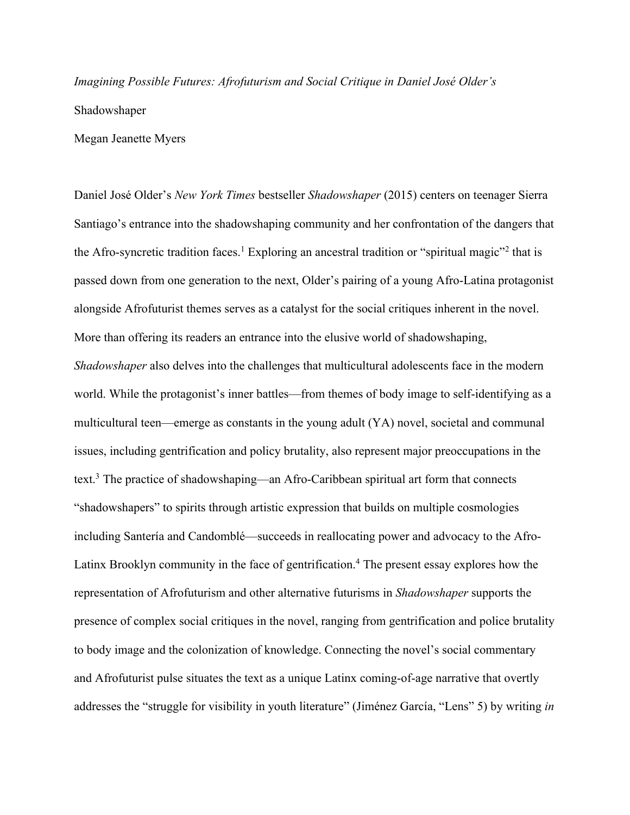*Imagining Possible Futures: Afrofuturism and Social Critique in Daniel José Older's*  Shadowshaper

Megan Jeanette Myers

Daniel José Older's *New York Times* bestseller *Shadowshaper* (2015) centers on teenager Sierra Santiago's entrance into the shadowshaping community and her confrontation of the dangers that the Afro-syncretic tradition faces.<sup>1</sup> Exploring an ancestral tradition or "spiritual magic"<sup>2</sup> that is passed down from one generation to the next, Older's pairing of a young Afro-Latina protagonist alongside Afrofuturist themes serves as a catalyst for the social critiques inherent in the novel. More than offering its readers an entrance into the elusive world of shadowshaping, *Shadowshaper* also delves into the challenges that multicultural adolescents face in the modern world. While the protagonist's inner battles—from themes of body image to self-identifying as a multicultural teen—emerge as constants in the young adult (YA) novel, societal and communal issues, including gentrification and policy brutality, also represent major preoccupations in the text.<sup>3</sup> The practice of shadowshaping—an Afro-Caribbean spiritual art form that connects "shadowshapers" to spirits through artistic expression that builds on multiple cosmologies including Santería and Candomblé—succeeds in reallocating power and advocacy to the Afro-Latinx Brooklyn community in the face of gentrification. <sup>4</sup> The present essay explores how the representation of Afrofuturism and other alternative futurisms in *Shadowshaper* supports the presence of complex social critiques in the novel, ranging from gentrification and police brutality to body image and the colonization of knowledge. Connecting the novel's social commentary and Afrofuturist pulse situates the text as a unique Latinx coming-of-age narrative that overtly addresses the "struggle for visibility in youth literature" (Jiménez García, "Lens" 5) by writing *in*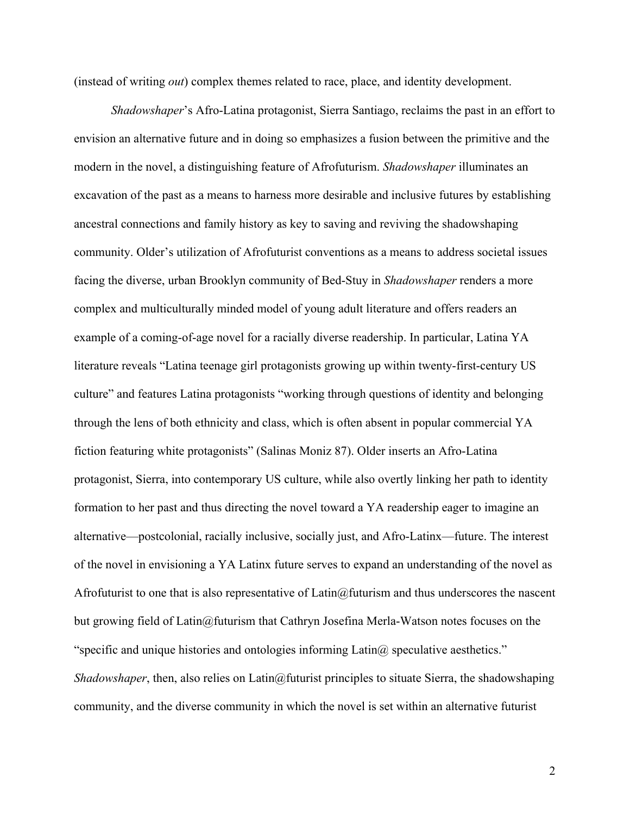(instead of writing *out*) complex themes related to race, place, and identity development.

*Shadowshaper*'s Afro-Latina protagonist, Sierra Santiago, reclaims the past in an effort to envision an alternative future and in doing so emphasizes a fusion between the primitive and the modern in the novel, a distinguishing feature of Afrofuturism. *Shadowshaper* illuminates an excavation of the past as a means to harness more desirable and inclusive futures by establishing ancestral connections and family history as key to saving and reviving the shadowshaping community. Older's utilization of Afrofuturist conventions as a means to address societal issues facing the diverse, urban Brooklyn community of Bed-Stuy in *Shadowshaper* renders a more complex and multiculturally minded model of young adult literature and offers readers an example of a coming-of-age novel for a racially diverse readership. In particular, Latina YA literature reveals "Latina teenage girl protagonists growing up within twenty-first-century US culture" and features Latina protagonists "working through questions of identity and belonging through the lens of both ethnicity and class, which is often absent in popular commercial YA fiction featuring white protagonists" (Salinas Moniz 87). Older inserts an Afro-Latina protagonist, Sierra, into contemporary US culture, while also overtly linking her path to identity formation to her past and thus directing the novel toward a YA readership eager to imagine an alternative—postcolonial, racially inclusive, socially just, and Afro-Latinx—future. The interest of the novel in envisioning a YA Latinx future serves to expand an understanding of the novel as Afrofuturist to one that is also representative of Latin $@$ futurism and thus underscores the nascent but growing field of Latin@futurism that Cathryn Josefina Merla-Watson notes focuses on the "specific and unique histories and ontologies informing  $Latin@$  speculative aesthetics." *Shadowshaper*, then, also relies on Latin@futurist principles to situate Sierra, the shadowshaping community, and the diverse community in which the novel is set within an alternative futurist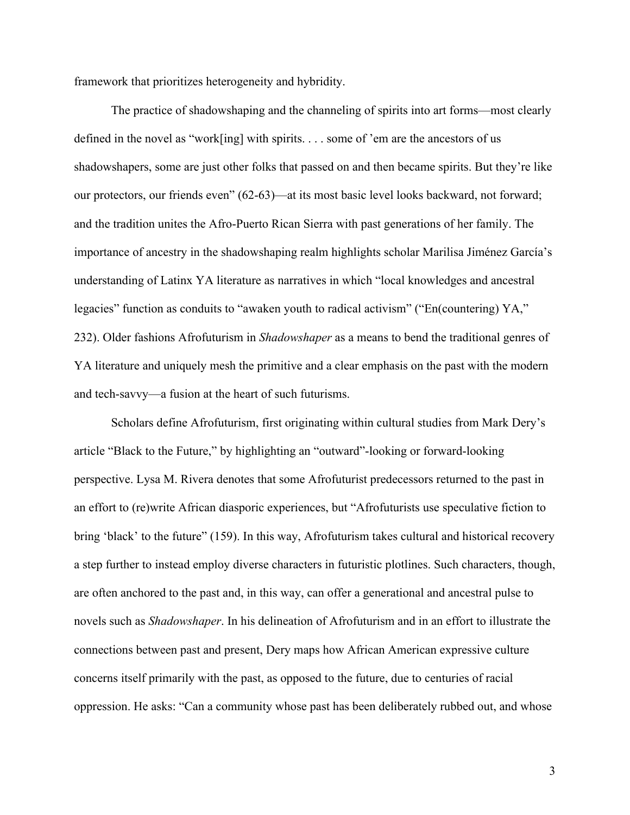framework that prioritizes heterogeneity and hybridity.

The practice of shadowshaping and the channeling of spirits into art forms—most clearly defined in the novel as "work[ing] with spirits. . . . some of 'em are the ancestors of us shadowshapers, some are just other folks that passed on and then became spirits. But they're like our protectors, our friends even" (62-63)—at its most basic level looks backward, not forward; and the tradition unites the Afro-Puerto Rican Sierra with past generations of her family. The importance of ancestry in the shadowshaping realm highlights scholar Marilisa Jiménez García's understanding of Latinx YA literature as narratives in which "local knowledges and ancestral legacies" function as conduits to "awaken youth to radical activism" ("En(countering) YA," 232). Older fashions Afrofuturism in *Shadowshaper* as a means to bend the traditional genres of YA literature and uniquely mesh the primitive and a clear emphasis on the past with the modern and tech-savvy—a fusion at the heart of such futurisms.

Scholars define Afrofuturism, first originating within cultural studies from Mark Dery's article "Black to the Future," by highlighting an "outward"-looking or forward-looking perspective. Lysa M. Rivera denotes that some Afrofuturist predecessors returned to the past in an effort to (re)write African diasporic experiences, but "Afrofuturists use speculative fiction to bring 'black' to the future" (159). In this way, Afrofuturism takes cultural and historical recovery a step further to instead employ diverse characters in futuristic plotlines. Such characters, though, are often anchored to the past and, in this way, can offer a generational and ancestral pulse to novels such as *Shadowshaper*. In his delineation of Afrofuturism and in an effort to illustrate the connections between past and present, Dery maps how African American expressive culture concerns itself primarily with the past, as opposed to the future, due to centuries of racial oppression. He asks: "Can a community whose past has been deliberately rubbed out, and whose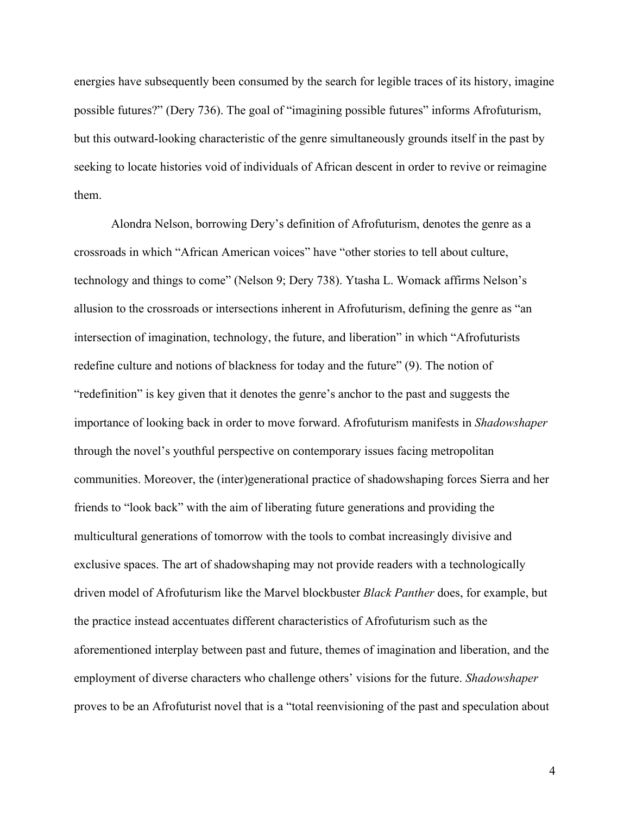energies have subsequently been consumed by the search for legible traces of its history, imagine possible futures?" (Dery 736). The goal of "imagining possible futures" informs Afrofuturism, but this outward-looking characteristic of the genre simultaneously grounds itself in the past by seeking to locate histories void of individuals of African descent in order to revive or reimagine them.

Alondra Nelson, borrowing Dery's definition of Afrofuturism, denotes the genre as a crossroads in which "African American voices" have "other stories to tell about culture, technology and things to come" (Nelson 9; Dery 738). Ytasha L. Womack affirms Nelson's allusion to the crossroads or intersections inherent in Afrofuturism, defining the genre as "an intersection of imagination, technology, the future, and liberation" in which "Afrofuturists redefine culture and notions of blackness for today and the future" (9). The notion of "redefinition" is key given that it denotes the genre's anchor to the past and suggests the importance of looking back in order to move forward. Afrofuturism manifests in *Shadowshaper*  through the novel's youthful perspective on contemporary issues facing metropolitan communities. Moreover, the (inter)generational practice of shadowshaping forces Sierra and her friends to "look back" with the aim of liberating future generations and providing the multicultural generations of tomorrow with the tools to combat increasingly divisive and exclusive spaces. The art of shadowshaping may not provide readers with a technologically driven model of Afrofuturism like the Marvel blockbuster *Black Panther* does, for example, but the practice instead accentuates different characteristics of Afrofuturism such as the aforementioned interplay between past and future, themes of imagination and liberation, and the employment of diverse characters who challenge others' visions for the future. *Shadowshaper*  proves to be an Afrofuturist novel that is a "total reenvisioning of the past and speculation about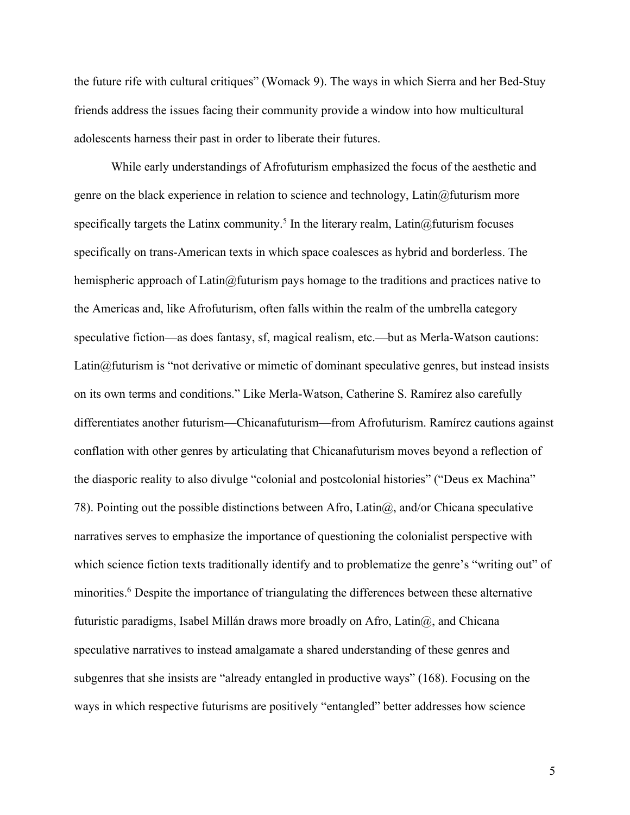the future rife with cultural critiques" (Womack 9). The ways in which Sierra and her Bed-Stuy friends address the issues facing their community provide a window into how multicultural adolescents harness their past in order to liberate their futures.

While early understandings of Afrofuturism emphasized the focus of the aesthetic and genre on the black experience in relation to science and technology, Latin@futurism more specifically targets the Latinx community.<sup>5</sup> In the literary realm, Latin@futurism focuses specifically on trans-American texts in which space coalesces as hybrid and borderless. The hemispheric approach of Latin@futurism pays homage to the traditions and practices native to the Americas and, like Afrofuturism, often falls within the realm of the umbrella category speculative fiction—as does fantasy, sf, magical realism, etc.—but as Merla-Watson cautions: Latin@futurism is "not derivative or mimetic of dominant speculative genres, but instead insists on its own terms and conditions." Like Merla-Watson, Catherine S. Ramírez also carefully differentiates another futurism—Chicanafuturism—from Afrofuturism. Ramírez cautions against conflation with other genres by articulating that Chicanafuturism moves beyond a reflection of the diasporic reality to also divulge "colonial and postcolonial histories" ("Deus ex Machina" 78). Pointing out the possible distinctions between Afro, Latin $\omega$ , and/or Chicana speculative narratives serves to emphasize the importance of questioning the colonialist perspective with which science fiction texts traditionally identify and to problematize the genre's "writing out" of minorities.<sup>6</sup> Despite the importance of triangulating the differences between these alternative futuristic paradigms, Isabel Millán draws more broadly on Afro, Latin@, and Chicana speculative narratives to instead amalgamate a shared understanding of these genres and subgenres that she insists are "already entangled in productive ways" (168). Focusing on the ways in which respective futurisms are positively "entangled" better addresses how science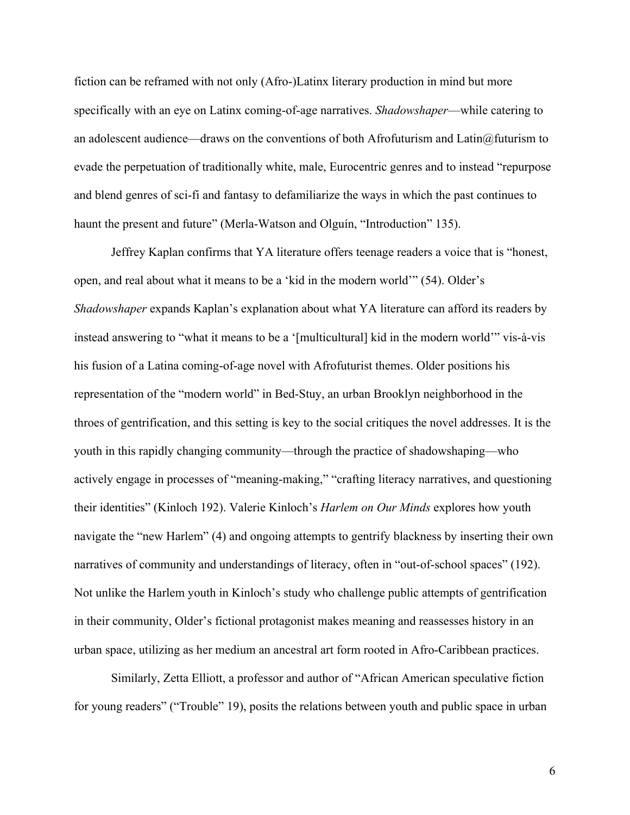fiction can be reframed with not only (Afro-)Latinx literary production in mind but more specifically with an eye on Latinx coming-of-age narratives. *Shadowshaper*—while catering to an adolescent audience—draws on the conventions of both Afrofuturism and Latin $@$ futurism to evade the perpetuation of traditionally white, male, Eurocentric genres and to instead "repurpose and blend genres of sci-fi and fantasy to defamiliarize the ways in which the past continues to haunt the present and future" (Merla-Watson and Olguín, "Introduction" 135).

Jeffrey Kaplan confirms that YA literature offers teenage readers a voice that is "honest, open, and real about what it means to be a 'kid in the modern world'" (54). Older's *Shadowshaper* expands Kaplan's explanation about what YA literature can afford its readers by instead answering to "what it means to be a '[multicultural] kid in the modern world'" vis-à-vis his fusion of a Latina coming-of-age novel with Afrofuturist themes. Older positions his representation of the "modern world" in Bed-Stuy, an urban Brooklyn neighborhood in the throes of gentrification, and this setting is key to the social critiques the novel addresses. It is the youth in this rapidly changing community—through the practice of shadowshaping—who actively engage in processes of "meaning-making," "crafting literacy narratives, and questioning their identities" (Kinloch 192). Valerie Kinloch's *Harlem on Our Minds* explores how youth navigate the "new Harlem" (4) and ongoing attempts to gentrify blackness by inserting their own narratives of community and understandings of literacy, often in "out-of-school spaces" (192). Not unlike the Harlem youth in Kinloch's study who challenge public attempts of gentrification in their community, Older's fictional protagonist makes meaning and reassesses history in an urban space, utilizing as her medium an ancestral art form rooted in Afro-Caribbean practices.

Similarly, Zetta Elliott, a professor and author of "African American speculative fiction for young readers" ("Trouble" 19), posits the relations between youth and public space in urban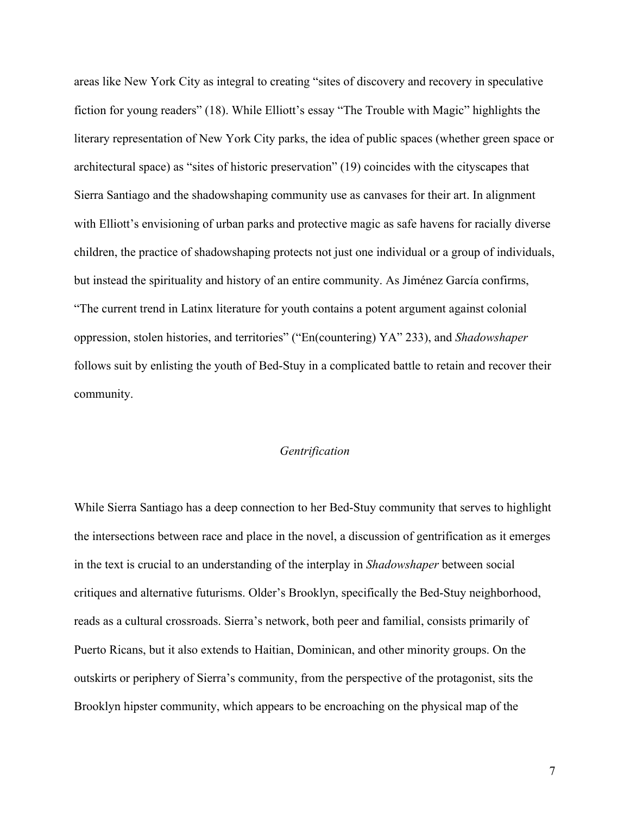areas like New York City as integral to creating "sites of discovery and recovery in speculative fiction for young readers" (18). While Elliott's essay "The Trouble with Magic" highlights the literary representation of New York City parks, the idea of public spaces (whether green space or architectural space) as "sites of historic preservation" (19) coincides with the cityscapes that Sierra Santiago and the shadowshaping community use as canvases for their art. In alignment with Elliott's envisioning of urban parks and protective magic as safe havens for racially diverse children, the practice of shadowshaping protects not just one individual or a group of individuals, but instead the spirituality and history of an entire community. As Jiménez García confirms, "The current trend in Latinx literature for youth contains a potent argument against colonial oppression, stolen histories, and territories" ("En(countering) YA" 233), and *Shadowshaper*  follows suit by enlisting the youth of Bed-Stuy in a complicated battle to retain and recover their community.

# *Gentrification*

While Sierra Santiago has a deep connection to her Bed-Stuy community that serves to highlight the intersections between race and place in the novel, a discussion of gentrification as it emerges in the text is crucial to an understanding of the interplay in *Shadowshaper* between social critiques and alternative futurisms. Older's Brooklyn, specifically the Bed-Stuy neighborhood, reads as a cultural crossroads. Sierra's network, both peer and familial, consists primarily of Puerto Ricans, but it also extends to Haitian, Dominican, and other minority groups. On the outskirts or periphery of Sierra's community, from the perspective of the protagonist, sits the Brooklyn hipster community, which appears to be encroaching on the physical map of the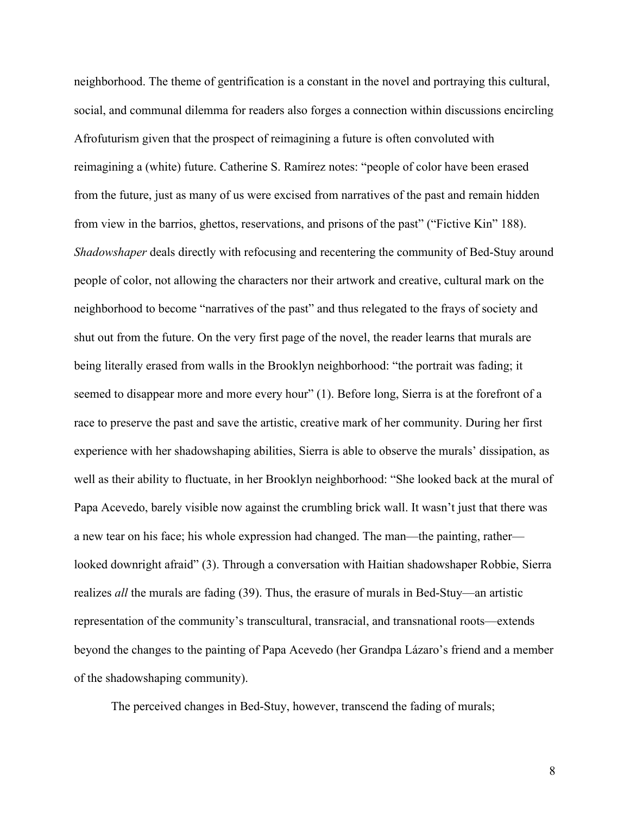neighborhood. The theme of gentrification is a constant in the novel and portraying this cultural, social, and communal dilemma for readers also forges a connection within discussions encircling Afrofuturism given that the prospect of reimagining a future is often convoluted with reimagining a (white) future. Catherine S. Ramírez notes: "people of color have been erased from the future, just as many of us were excised from narratives of the past and remain hidden from view in the barrios, ghettos, reservations, and prisons of the past" ("Fictive Kin" 188). *Shadowshaper* deals directly with refocusing and recentering the community of Bed-Stuy around people of color, not allowing the characters nor their artwork and creative, cultural mark on the neighborhood to become "narratives of the past" and thus relegated to the frays of society and shut out from the future. On the very first page of the novel, the reader learns that murals are being literally erased from walls in the Brooklyn neighborhood: "the portrait was fading; it seemed to disappear more and more every hour" (1). Before long, Sierra is at the forefront of a race to preserve the past and save the artistic, creative mark of her community. During her first experience with her shadowshaping abilities, Sierra is able to observe the murals' dissipation, as well as their ability to fluctuate, in her Brooklyn neighborhood: "She looked back at the mural of Papa Acevedo, barely visible now against the crumbling brick wall. It wasn't just that there was a new tear on his face; his whole expression had changed. The man—the painting, rather looked downright afraid" (3). Through a conversation with Haitian shadowshaper Robbie, Sierra realizes *all* the murals are fading (39). Thus, the erasure of murals in Bed-Stuy—an artistic representation of the community's transcultural, transracial, and transnational roots—extends beyond the changes to the painting of Papa Acevedo (her Grandpa Lázaro's friend and a member of the shadowshaping community).

The perceived changes in Bed-Stuy, however, transcend the fading of murals;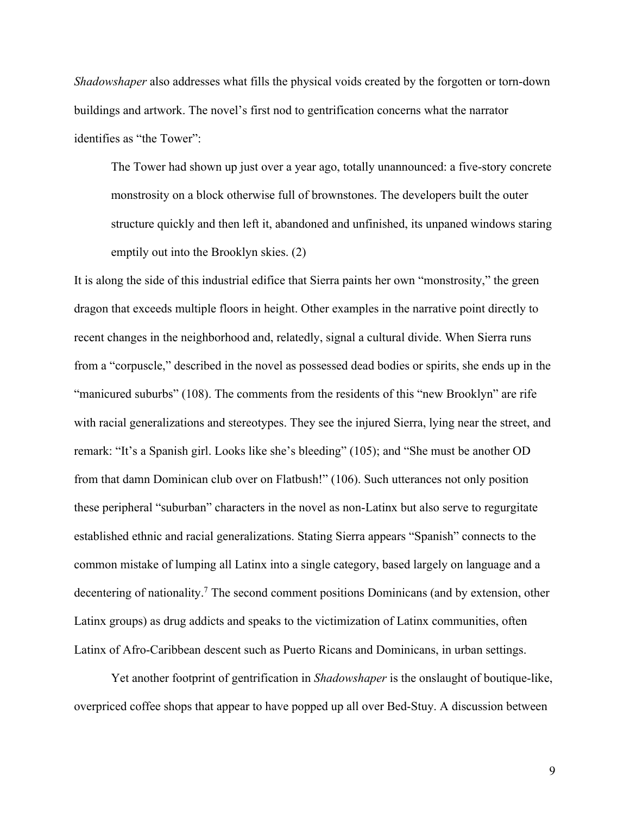*Shadowshaper* also addresses what fills the physical voids created by the forgotten or torn-down buildings and artwork. The novel's first nod to gentrification concerns what the narrator identifies as "the Tower":

The Tower had shown up just over a year ago, totally unannounced: a five-story concrete monstrosity on a block otherwise full of brownstones. The developers built the outer structure quickly and then left it, abandoned and unfinished, its unpaned windows staring emptily out into the Brooklyn skies. (2)

It is along the side of this industrial edifice that Sierra paints her own "monstrosity," the green dragon that exceeds multiple floors in height. Other examples in the narrative point directly to recent changes in the neighborhood and, relatedly, signal a cultural divide. When Sierra runs from a "corpuscle," described in the novel as possessed dead bodies or spirits, she ends up in the "manicured suburbs" (108). The comments from the residents of this "new Brooklyn" are rife with racial generalizations and stereotypes. They see the injured Sierra, lying near the street, and remark: "It's a Spanish girl. Looks like she's bleeding" (105); and "She must be another OD from that damn Dominican club over on Flatbush!" (106). Such utterances not only position these peripheral "suburban" characters in the novel as non-Latinx but also serve to regurgitate established ethnic and racial generalizations. Stating Sierra appears "Spanish" connects to the common mistake of lumping all Latinx into a single category, based largely on language and a decentering of nationality.<sup>7</sup> The second comment positions Dominicans (and by extension, other Latinx groups) as drug addicts and speaks to the victimization of Latinx communities, often Latinx of Afro-Caribbean descent such as Puerto Ricans and Dominicans, in urban settings.

Yet another footprint of gentrification in *Shadowshaper* is the onslaught of boutique-like, overpriced coffee shops that appear to have popped up all over Bed-Stuy. A discussion between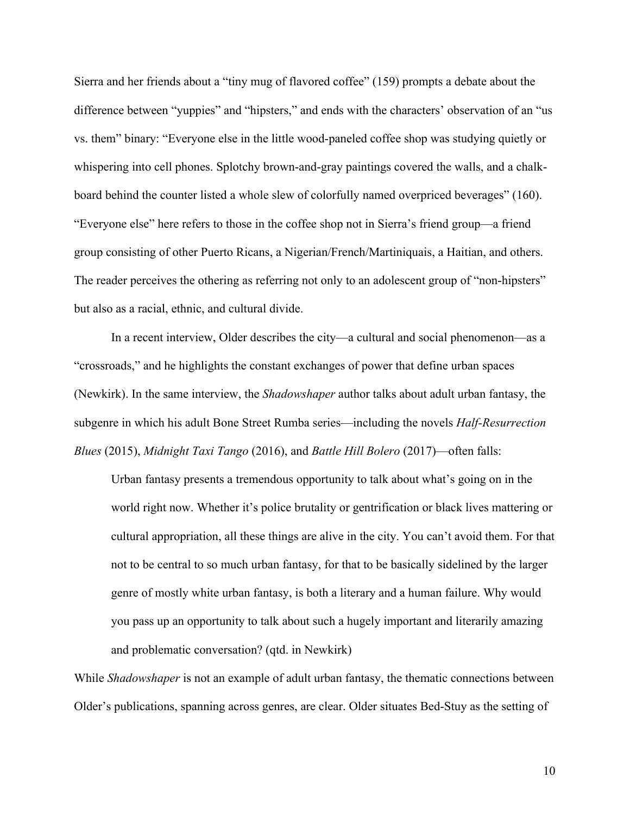Sierra and her friends about a "tiny mug of flavored coffee" (159) prompts a debate about the difference between "yuppies" and "hipsters," and ends with the characters' observation of an "us vs. them" binary: "Everyone else in the little wood-paneled coffee shop was studying quietly or whispering into cell phones. Splotchy brown-and-gray paintings covered the walls, and a chalkboard behind the counter listed a whole slew of colorfully named overpriced beverages" (160). "Everyone else" here refers to those in the coffee shop not in Sierra's friend group—a friend group consisting of other Puerto Ricans, a Nigerian/French/Martiniquais, a Haitian, and others. The reader perceives the othering as referring not only to an adolescent group of "non-hipsters" but also as a racial, ethnic, and cultural divide.

In a recent interview, Older describes the city—a cultural and social phenomenon—as a "crossroads," and he highlights the constant exchanges of power that define urban spaces (Newkirk). In the same interview, the *Shadowshaper* author talks about adult urban fantasy, the subgenre in which his adult Bone Street Rumba series—including the novels *Half-Resurrection Blues* (2015), *Midnight Taxi Tango* (2016), and *Battle Hill Bolero* (2017)—often falls:

Urban fantasy presents a tremendous opportunity to talk about what's going on in the world right now. Whether it's police brutality or gentrification or black lives mattering or cultural appropriation, all these things are alive in the city. You can't avoid them. For that not to be central to so much urban fantasy, for that to be basically sidelined by the larger genre of mostly white urban fantasy, is both a literary and a human failure. Why would you pass up an opportunity to talk about such a hugely important and literarily amazing and problematic conversation? (qtd. in Newkirk)

While *Shadowshaper* is not an example of adult urban fantasy, the thematic connections between Older's publications, spanning across genres, are clear. Older situates Bed-Stuy as the setting of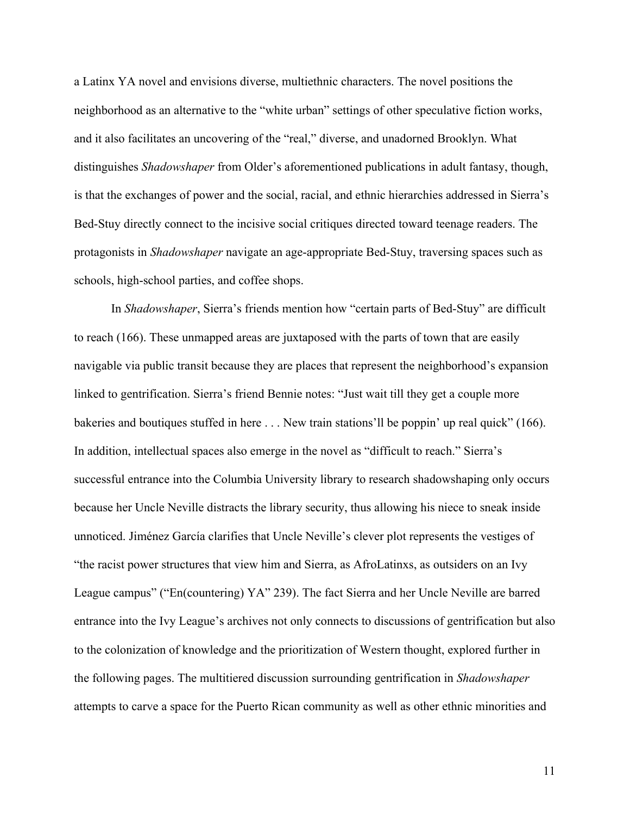a Latinx YA novel and envisions diverse, multiethnic characters. The novel positions the neighborhood as an alternative to the "white urban" settings of other speculative fiction works, and it also facilitates an uncovering of the "real," diverse, and unadorned Brooklyn. What distinguishes *Shadowshaper* from Older's aforementioned publications in adult fantasy, though, is that the exchanges of power and the social, racial, and ethnic hierarchies addressed in Sierra's Bed-Stuy directly connect to the incisive social critiques directed toward teenage readers. The protagonists in *Shadowshaper* navigate an age-appropriate Bed-Stuy, traversing spaces such as schools, high-school parties, and coffee shops.

In *Shadowshaper*, Sierra's friends mention how "certain parts of Bed-Stuy" are difficult to reach (166). These unmapped areas are juxtaposed with the parts of town that are easily navigable via public transit because they are places that represent the neighborhood's expansion linked to gentrification. Sierra's friend Bennie notes: "Just wait till they get a couple more bakeries and boutiques stuffed in here . . . New train stations'll be poppin' up real quick" (166). In addition, intellectual spaces also emerge in the novel as "difficult to reach." Sierra's successful entrance into the Columbia University library to research shadowshaping only occurs because her Uncle Neville distracts the library security, thus allowing his niece to sneak inside unnoticed. Jiménez García clarifies that Uncle Neville's clever plot represents the vestiges of "the racist power structures that view him and Sierra, as AfroLatinxs, as outsiders on an Ivy League campus" ("En(countering) YA" 239). The fact Sierra and her Uncle Neville are barred entrance into the Ivy League's archives not only connects to discussions of gentrification but also to the colonization of knowledge and the prioritization of Western thought, explored further in the following pages. The multitiered discussion surrounding gentrification in *Shadowshaper*  attempts to carve a space for the Puerto Rican community as well as other ethnic minorities and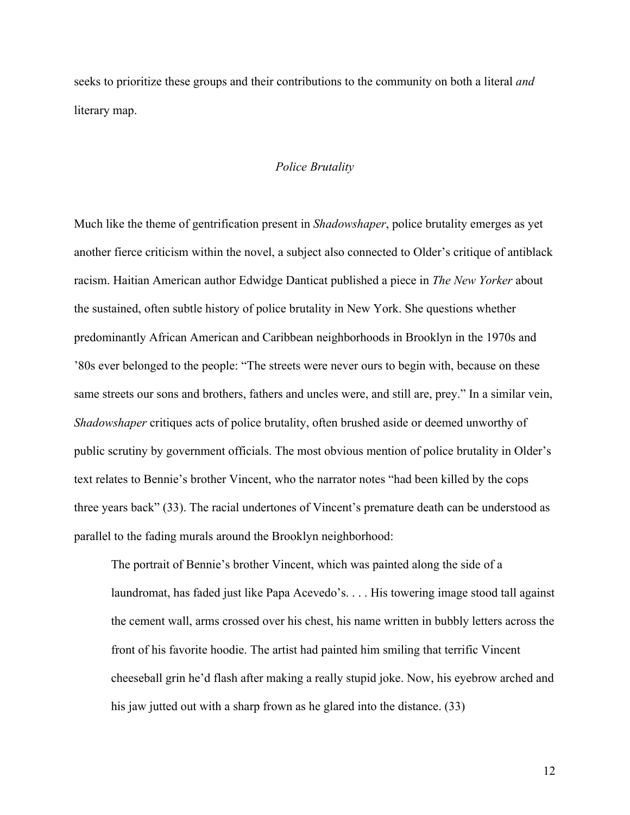seeks to prioritize these groups and their contributions to the community on both a literal *and*  literary map.

### *Police Brutality*

Much like the theme of gentrification present in *Shadowshaper*, police brutality emerges as yet another fierce criticism within the novel, a subject also connected to Older's critique of antiblack racism. Haitian American author Edwidge Danticat published a piece in *The New Yorker* about the sustained, often subtle history of police brutality in New York. She questions whether predominantly African American and Caribbean neighborhoods in Brooklyn in the 1970s and '80s ever belonged to the people: "The streets were never ours to begin with, because on these same streets our sons and brothers, fathers and uncles were, and still are, prey." In a similar vein, *Shadowshaper* critiques acts of police brutality, often brushed aside or deemed unworthy of public scrutiny by government officials. The most obvious mention of police brutality in Older's text relates to Bennie's brother Vincent, who the narrator notes "had been killed by the cops three years back" (33). The racial undertones of Vincent's premature death can be understood as parallel to the fading murals around the Brooklyn neighborhood:

The portrait of Bennie's brother Vincent, which was painted along the side of a laundromat, has faded just like Papa Acevedo's. . . . His towering image stood tall against the cement wall, arms crossed over his chest, his name written in bubbly letters across the front of his favorite hoodie. The artist had painted him smiling that terrific Vincent cheeseball grin he'd flash after making a really stupid joke. Now, his eyebrow arched and his jaw jutted out with a sharp frown as he glared into the distance. (33)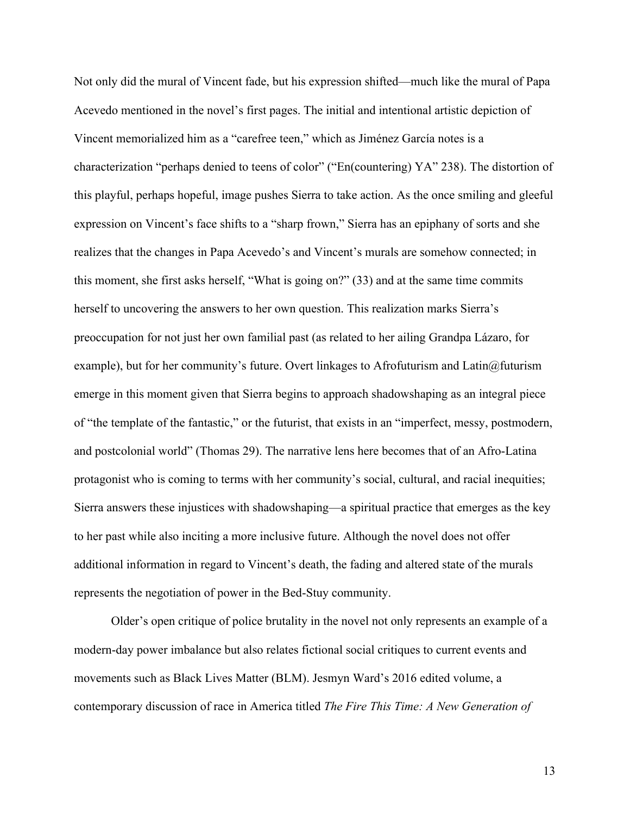Not only did the mural of Vincent fade, but his expression shifted—much like the mural of Papa Acevedo mentioned in the novel's first pages. The initial and intentional artistic depiction of Vincent memorialized him as a "carefree teen," which as Jiménez García notes is a characterization "perhaps denied to teens of color" ("En(countering) YA" 238). The distortion of this playful, perhaps hopeful, image pushes Sierra to take action. As the once smiling and gleeful expression on Vincent's face shifts to a "sharp frown," Sierra has an epiphany of sorts and she realizes that the changes in Papa Acevedo's and Vincent's murals are somehow connected; in this moment, she first asks herself, "What is going on?" (33) and at the same time commits herself to uncovering the answers to her own question. This realization marks Sierra's preoccupation for not just her own familial past (as related to her ailing Grandpa Lázaro, for example), but for her community's future. Overt linkages to Afrofuturism and Latin@futurism emerge in this moment given that Sierra begins to approach shadowshaping as an integral piece of "the template of the fantastic," or the futurist, that exists in an "imperfect, messy, postmodern, and postcolonial world" (Thomas 29). The narrative lens here becomes that of an Afro-Latina protagonist who is coming to terms with her community's social, cultural, and racial inequities; Sierra answers these injustices with shadowshaping—a spiritual practice that emerges as the key to her past while also inciting a more inclusive future. Although the novel does not offer additional information in regard to Vincent's death, the fading and altered state of the murals represents the negotiation of power in the Bed-Stuy community.

Older's open critique of police brutality in the novel not only represents an example of a modern-day power imbalance but also relates fictional social critiques to current events and movements such as Black Lives Matter (BLM). Jesmyn Ward's 2016 edited volume, a contemporary discussion of race in America titled *The Fire This Time: A New Generation of*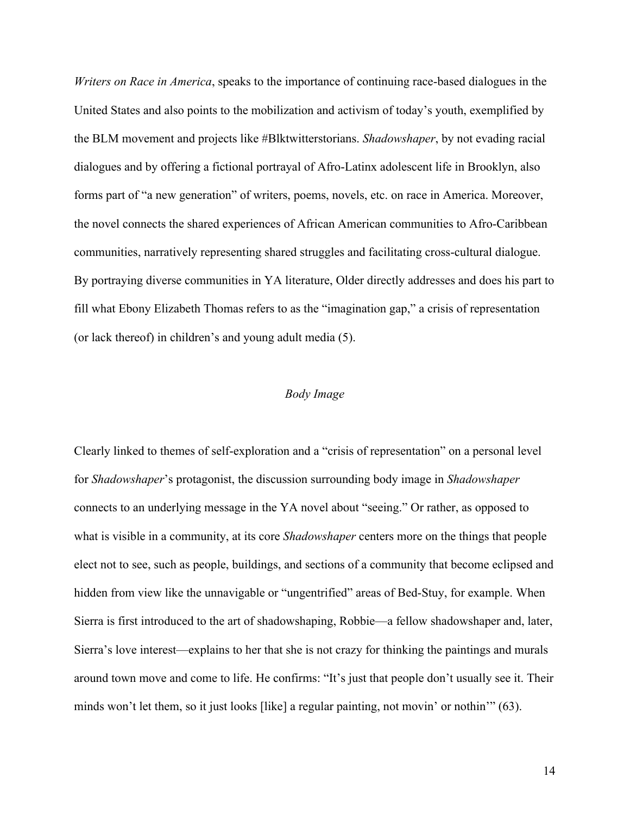*Writers on Race in America*, speaks to the importance of continuing race-based dialogues in the United States and also points to the mobilization and activism of today's youth, exemplified by the BLM movement and projects like #Blktwitterstorians. *Shadowshaper*, by not evading racial dialogues and by offering a fictional portrayal of Afro-Latinx adolescent life in Brooklyn, also forms part of "a new generation" of writers, poems, novels, etc. on race in America. Moreover, the novel connects the shared experiences of African American communities to Afro-Caribbean communities, narratively representing shared struggles and facilitating cross-cultural dialogue. By portraying diverse communities in YA literature, Older directly addresses and does his part to fill what Ebony Elizabeth Thomas refers to as the "imagination gap," a crisis of representation (or lack thereof) in children's and young adult media (5).

## *Body Image*

Clearly linked to themes of self-exploration and a "crisis of representation" on a personal level for *Shadowshaper*'s protagonist, the discussion surrounding body image in *Shadowshaper* connects to an underlying message in the YA novel about "seeing." Or rather, as opposed to what is visible in a community, at its core *Shadowshaper* centers more on the things that people elect not to see, such as people, buildings, and sections of a community that become eclipsed and hidden from view like the unnavigable or "ungentrified" areas of Bed-Stuy, for example. When Sierra is first introduced to the art of shadowshaping, Robbie—a fellow shadowshaper and, later, Sierra's love interest—explains to her that she is not crazy for thinking the paintings and murals around town move and come to life. He confirms: "It's just that people don't usually see it. Their minds won't let them, so it just looks [like] a regular painting, not movin' or nothin'" (63).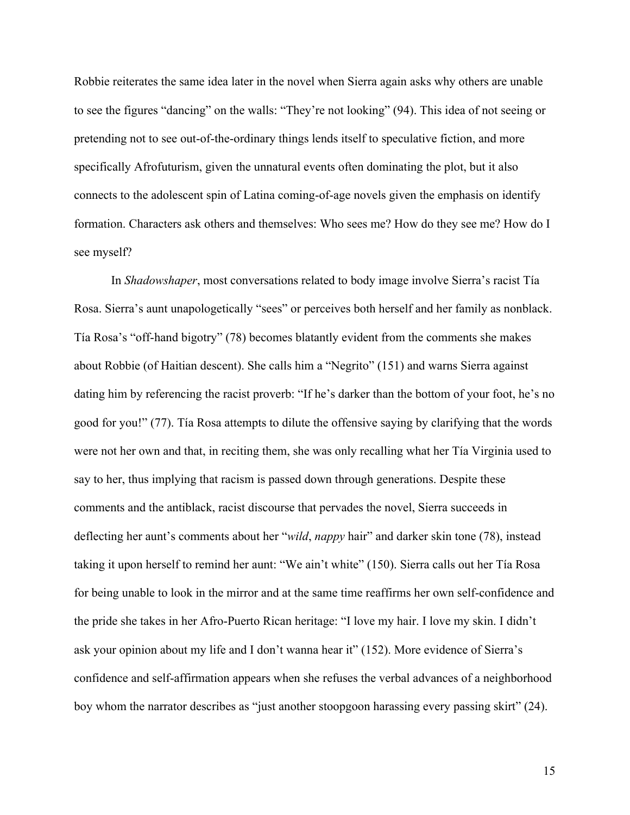Robbie reiterates the same idea later in the novel when Sierra again asks why others are unable to see the figures "dancing" on the walls: "They're not looking" (94). This idea of not seeing or pretending not to see out-of-the-ordinary things lends itself to speculative fiction, and more specifically Afrofuturism, given the unnatural events often dominating the plot, but it also connects to the adolescent spin of Latina coming-of-age novels given the emphasis on identify formation. Characters ask others and themselves: Who sees me? How do they see me? How do I see myself?

In *Shadowshaper*, most conversations related to body image involve Sierra's racist Tía Rosa. Sierra's aunt unapologetically "sees" or perceives both herself and her family as nonblack. Tía Rosa's "off-hand bigotry" (78) becomes blatantly evident from the comments she makes about Robbie (of Haitian descent). She calls him a "Negrito" (151) and warns Sierra against dating him by referencing the racist proverb: "If he's darker than the bottom of your foot, he's no good for you!" (77). Tía Rosa attempts to dilute the offensive saying by clarifying that the words were not her own and that, in reciting them, she was only recalling what her Tía Virginia used to say to her, thus implying that racism is passed down through generations. Despite these comments and the antiblack, racist discourse that pervades the novel, Sierra succeeds in deflecting her aunt's comments about her "*wild*, *nappy* hair" and darker skin tone (78), instead taking it upon herself to remind her aunt: "We ain't white" (150). Sierra calls out her Tía Rosa for being unable to look in the mirror and at the same time reaffirms her own self-confidence and the pride she takes in her Afro-Puerto Rican heritage: "I love my hair. I love my skin. I didn't ask your opinion about my life and I don't wanna hear it" (152). More evidence of Sierra's confidence and self-affirmation appears when she refuses the verbal advances of a neighborhood boy whom the narrator describes as "just another stoopgoon harassing every passing skirt" (24).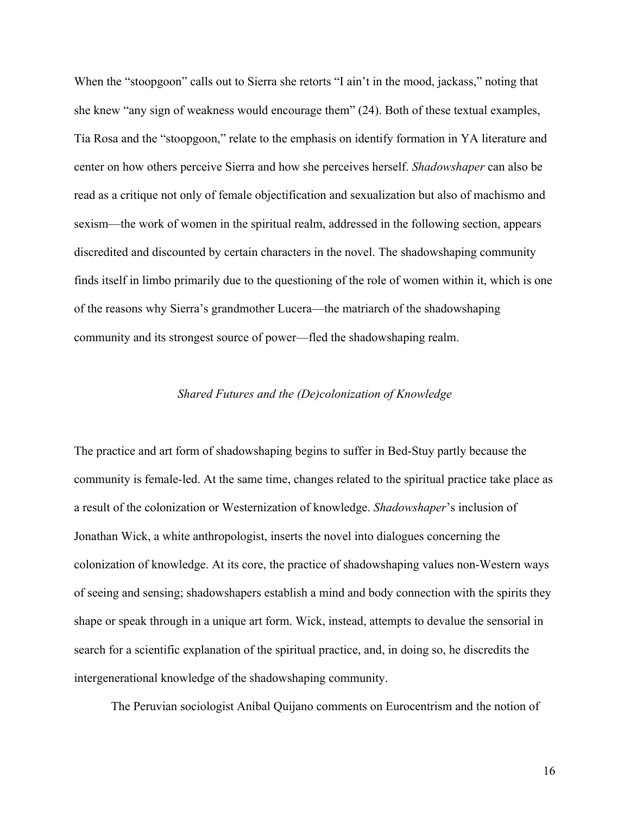When the "stoopgoon" calls out to Sierra she retorts "I ain't in the mood, jackass," noting that she knew "any sign of weakness would encourage them" (24). Both of these textual examples, Tía Rosa and the "stoopgoon," relate to the emphasis on identify formation in YA literature and center on how others perceive Sierra and how she perceives herself. *Shadowshaper* can also be read as a critique not only of female objectification and sexualization but also of machismo and sexism—the work of women in the spiritual realm, addressed in the following section, appears discredited and discounted by certain characters in the novel. The shadowshaping community finds itself in limbo primarily due to the questioning of the role of women within it, which is one of the reasons why Sierra's grandmother Lucera—the matriarch of the shadowshaping community and its strongest source of power—fled the shadowshaping realm.

### *Shared Futures and the (De)colonization of Knowledge*

The practice and art form of shadowshaping begins to suffer in Bed-Stuy partly because the community is female-led. At the same time, changes related to the spiritual practice take place as a result of the colonization or Westernization of knowledge. *Shadowshaper*'s inclusion of Jonathan Wick, a white anthropologist, inserts the novel into dialogues concerning the colonization of knowledge. At its core, the practice of shadowshaping values non-Western ways of seeing and sensing; shadowshapers establish a mind and body connection with the spirits they shape or speak through in a unique art form. Wick, instead, attempts to devalue the sensorial in search for a scientific explanation of the spiritual practice, and, in doing so, he discredits the intergenerational knowledge of the shadowshaping community.

The Peruvian sociologist Aníbal Quijano comments on Eurocentrism and the notion of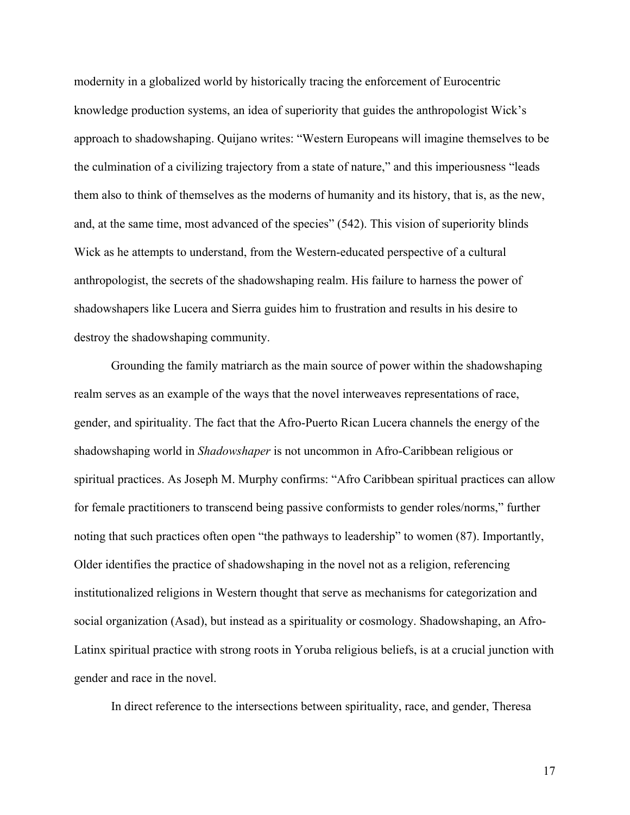modernity in a globalized world by historically tracing the enforcement of Eurocentric knowledge production systems, an idea of superiority that guides the anthropologist Wick's approach to shadowshaping. Quijano writes: "Western Europeans will imagine themselves to be the culmination of a civilizing trajectory from a state of nature," and this imperiousness "leads them also to think of themselves as the moderns of humanity and its history, that is, as the new, and, at the same time, most advanced of the species" (542). This vision of superiority blinds Wick as he attempts to understand, from the Western-educated perspective of a cultural anthropologist, the secrets of the shadowshaping realm. His failure to harness the power of shadowshapers like Lucera and Sierra guides him to frustration and results in his desire to destroy the shadowshaping community.

Grounding the family matriarch as the main source of power within the shadowshaping realm serves as an example of the ways that the novel interweaves representations of race, gender, and spirituality. The fact that the Afro-Puerto Rican Lucera channels the energy of the shadowshaping world in *Shadowshaper* is not uncommon in Afro-Caribbean religious or spiritual practices. As Joseph M. Murphy confirms: "Afro Caribbean spiritual practices can allow for female practitioners to transcend being passive conformists to gender roles/norms," further noting that such practices often open "the pathways to leadership" to women (87). Importantly, Older identifies the practice of shadowshaping in the novel not as a religion, referencing institutionalized religions in Western thought that serve as mechanisms for categorization and social organization (Asad), but instead as a spirituality or cosmology. Shadowshaping, an Afro-Latinx spiritual practice with strong roots in Yoruba religious beliefs, is at a crucial junction with gender and race in the novel.

In direct reference to the intersections between spirituality, race, and gender, Theresa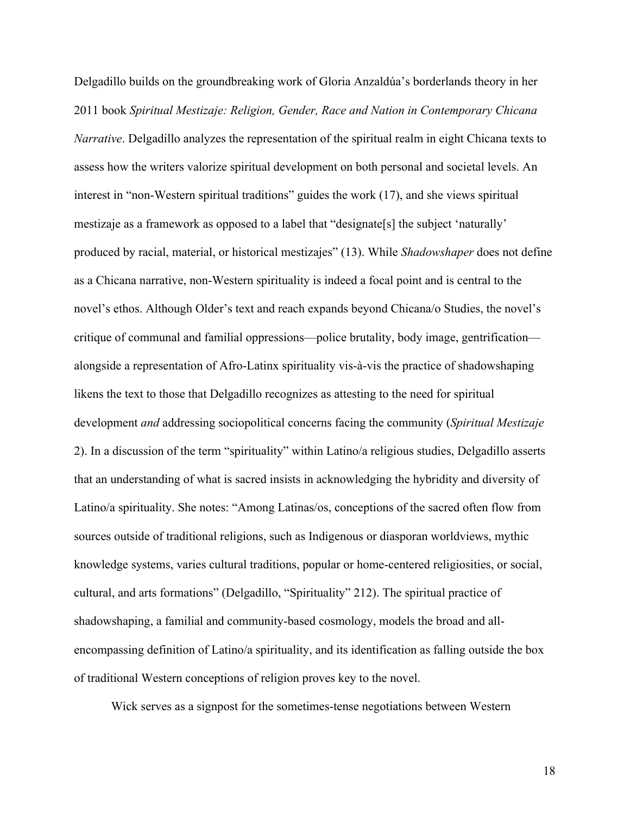Delgadillo builds on the groundbreaking work of Gloria Anzaldúa's borderlands theory in her 2011 book *Spiritual Mestizaje: Religion, Gender, Race and Nation in Contemporary Chicana Narrative*. Delgadillo analyzes the representation of the spiritual realm in eight Chicana texts to assess how the writers valorize spiritual development on both personal and societal levels. An interest in "non-Western spiritual traditions" guides the work (17), and she views spiritual mestizaje as a framework as opposed to a label that "designate[s] the subject 'naturally' produced by racial, material, or historical mestizajes" (13). While *Shadowshaper* does not define as a Chicana narrative, non-Western spirituality is indeed a focal point and is central to the novel's ethos. Although Older's text and reach expands beyond Chicana/o Studies, the novel's critique of communal and familial oppressions—police brutality, body image, gentrification alongside a representation of Afro-Latinx spirituality vis-à-vis the practice of shadowshaping likens the text to those that Delgadillo recognizes as attesting to the need for spiritual development *and* addressing sociopolitical concerns facing the community (*Spiritual Mestizaje* 2). In a discussion of the term "spirituality" within Latino/a religious studies, Delgadillo asserts that an understanding of what is sacred insists in acknowledging the hybridity and diversity of Latino/a spirituality. She notes: "Among Latinas/os, conceptions of the sacred often flow from sources outside of traditional religions, such as Indigenous or diasporan worldviews, mythic knowledge systems, varies cultural traditions, popular or home-centered religiosities, or social, cultural, and arts formations" (Delgadillo, "Spirituality" 212). The spiritual practice of shadowshaping, a familial and community-based cosmology, models the broad and allencompassing definition of Latino/a spirituality, and its identification as falling outside the box of traditional Western conceptions of religion proves key to the novel.

Wick serves as a signpost for the sometimes-tense negotiations between Western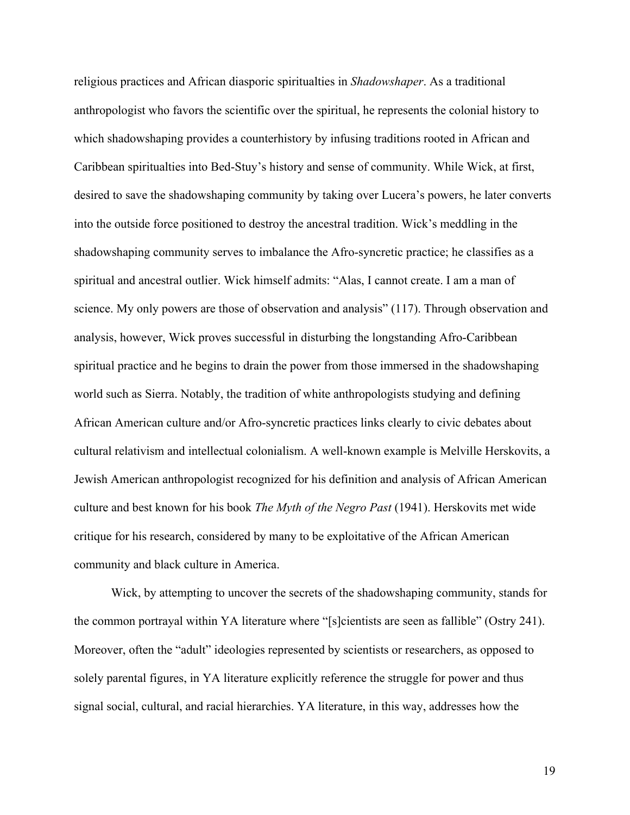religious practices and African diasporic spiritualties in *Shadowshaper*. As a traditional anthropologist who favors the scientific over the spiritual, he represents the colonial history to which shadowshaping provides a counterhistory by infusing traditions rooted in African and Caribbean spiritualties into Bed-Stuy's history and sense of community. While Wick, at first, desired to save the shadowshaping community by taking over Lucera's powers, he later converts into the outside force positioned to destroy the ancestral tradition. Wick's meddling in the shadowshaping community serves to imbalance the Afro-syncretic practice; he classifies as a spiritual and ancestral outlier. Wick himself admits: "Alas, I cannot create. I am a man of science. My only powers are those of observation and analysis" (117). Through observation and analysis, however, Wick proves successful in disturbing the longstanding Afro-Caribbean spiritual practice and he begins to drain the power from those immersed in the shadowshaping world such as Sierra. Notably, the tradition of white anthropologists studying and defining African American culture and/or Afro-syncretic practices links clearly to civic debates about cultural relativism and intellectual colonialism. A well-known example is Melville Herskovits, a Jewish American anthropologist recognized for his definition and analysis of African American culture and best known for his book *The Myth of the Negro Past* (1941). Herskovits met wide critique for his research, considered by many to be exploitative of the African American community and black culture in America.

Wick, by attempting to uncover the secrets of the shadowshaping community, stands for the common portrayal within YA literature where "[s]cientists are seen as fallible" (Ostry 241). Moreover, often the "adult" ideologies represented by scientists or researchers, as opposed to solely parental figures, in YA literature explicitly reference the struggle for power and thus signal social, cultural, and racial hierarchies. YA literature, in this way, addresses how the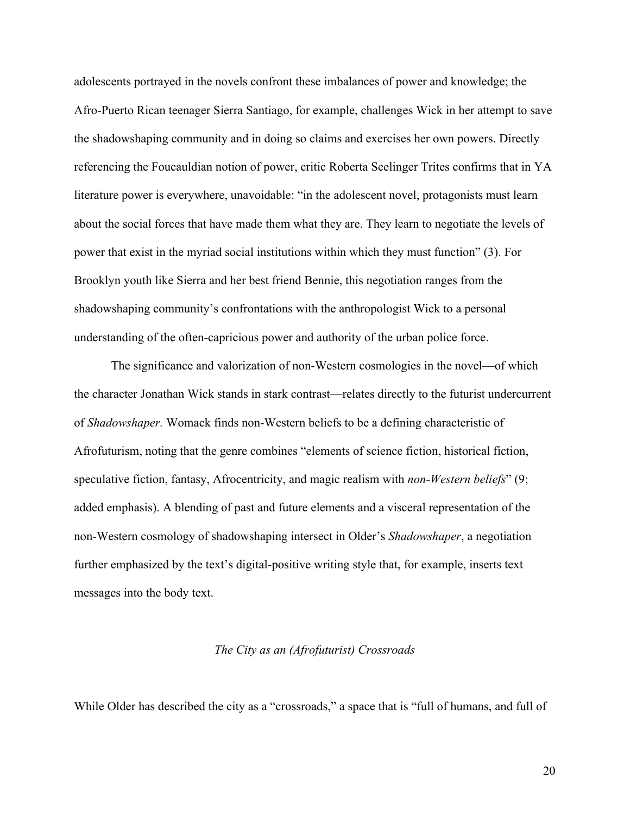adolescents portrayed in the novels confront these imbalances of power and knowledge; the Afro-Puerto Rican teenager Sierra Santiago, for example, challenges Wick in her attempt to save the shadowshaping community and in doing so claims and exercises her own powers. Directly referencing the Foucauldian notion of power, critic Roberta Seelinger Trites confirms that in YA literature power is everywhere, unavoidable: "in the adolescent novel, protagonists must learn about the social forces that have made them what they are. They learn to negotiate the levels of power that exist in the myriad social institutions within which they must function" (3). For Brooklyn youth like Sierra and her best friend Bennie, this negotiation ranges from the shadowshaping community's confrontations with the anthropologist Wick to a personal understanding of the often-capricious power and authority of the urban police force.

The significance and valorization of non-Western cosmologies in the novel—of which the character Jonathan Wick stands in stark contrast—relates directly to the futurist undercurrent of *Shadowshaper.* Womack finds non-Western beliefs to be a defining characteristic of Afrofuturism, noting that the genre combines "elements of science fiction, historical fiction, speculative fiction, fantasy, Afrocentricity, and magic realism with *non-Western beliefs*" (9; added emphasis). A blending of past and future elements and a visceral representation of the non-Western cosmology of shadowshaping intersect in Older's *Shadowshaper*, a negotiation further emphasized by the text's digital-positive writing style that, for example, inserts text messages into the body text.

#### *The City as an (Afrofuturist) Crossroads*

While Older has described the city as a "crossroads," a space that is "full of humans, and full of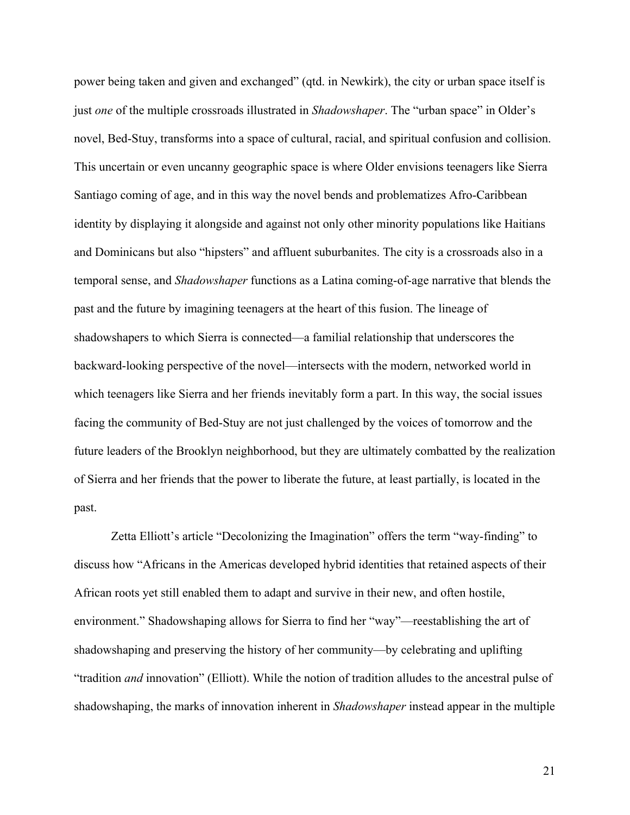power being taken and given and exchanged" (qtd. in Newkirk), the city or urban space itself is just *one* of the multiple crossroads illustrated in *Shadowshaper*. The "urban space" in Older's novel, Bed-Stuy, transforms into a space of cultural, racial, and spiritual confusion and collision. This uncertain or even uncanny geographic space is where Older envisions teenagers like Sierra Santiago coming of age, and in this way the novel bends and problematizes Afro-Caribbean identity by displaying it alongside and against not only other minority populations like Haitians and Dominicans but also "hipsters" and affluent suburbanites. The city is a crossroads also in a temporal sense, and *Shadowshaper* functions as a Latina coming-of-age narrative that blends the past and the future by imagining teenagers at the heart of this fusion. The lineage of shadowshapers to which Sierra is connected—a familial relationship that underscores the backward-looking perspective of the novel—intersects with the modern, networked world in which teenagers like Sierra and her friends inevitably form a part. In this way, the social issues facing the community of Bed-Stuy are not just challenged by the voices of tomorrow and the future leaders of the Brooklyn neighborhood, but they are ultimately combatted by the realization of Sierra and her friends that the power to liberate the future, at least partially, is located in the past.

Zetta Elliott's article "Decolonizing the Imagination" offers the term "way-finding" to discuss how "Africans in the Americas developed hybrid identities that retained aspects of their African roots yet still enabled them to adapt and survive in their new, and often hostile, environment." Shadowshaping allows for Sierra to find her "way"—reestablishing the art of shadowshaping and preserving the history of her community—by celebrating and uplifting "tradition *and* innovation" (Elliott). While the notion of tradition alludes to the ancestral pulse of shadowshaping, the marks of innovation inherent in *Shadowshaper* instead appear in the multiple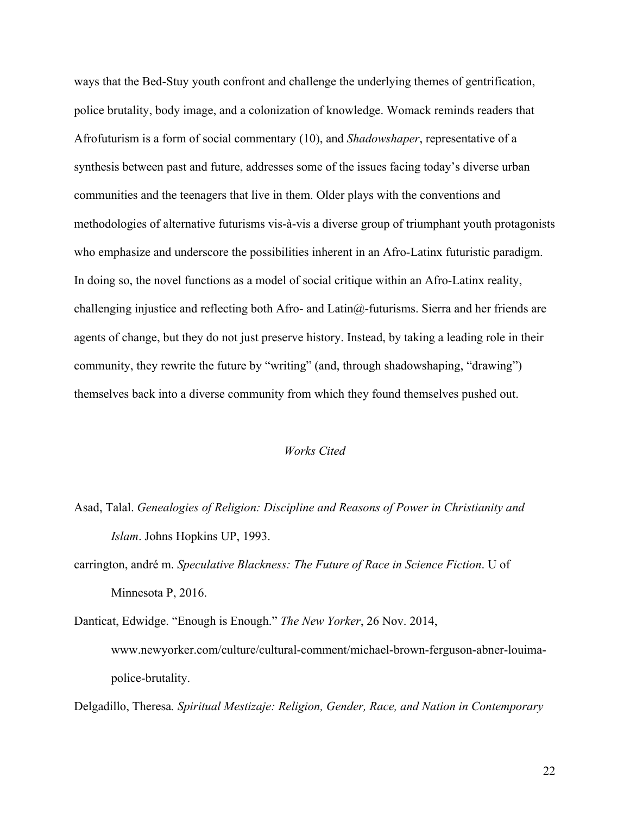ways that the Bed-Stuy youth confront and challenge the underlying themes of gentrification, police brutality, body image, and a colonization of knowledge. Womack reminds readers that Afrofuturism is a form of social commentary (10), and *Shadowshaper*, representative of a synthesis between past and future, addresses some of the issues facing today's diverse urban communities and the teenagers that live in them. Older plays with the conventions and methodologies of alternative futurisms vis-à-vis a diverse group of triumphant youth protagonists who emphasize and underscore the possibilities inherent in an Afro-Latinx futuristic paradigm. In doing so, the novel functions as a model of social critique within an Afro-Latinx reality, challenging injustice and reflecting both Afro- and Latin@-futurisms. Sierra and her friends are agents of change, but they do not just preserve history. Instead, by taking a leading role in their community, they rewrite the future by "writing" (and, through shadowshaping, "drawing") themselves back into a diverse community from which they found themselves pushed out.

### *Works Cited*

- Asad, Talal. *Genealogies of Religion: Discipline and Reasons of Power in Christianity and Islam*. Johns Hopkins UP, 1993.
- carrington, andré m. *Speculative Blackness: The Future of Race in Science Fiction*. U of Minnesota P, 2016.
- Danticat, Edwidge. "Enough is Enough." *The New Yorker*, 26 Nov. 2014, www.newyorker.com/culture/cultural-comment/michael-brown-ferguson-abner-louimapolice-brutality.

Delgadillo, Theresa*. Spiritual Mestizaje: Religion, Gender, Race, and Nation in Contemporary*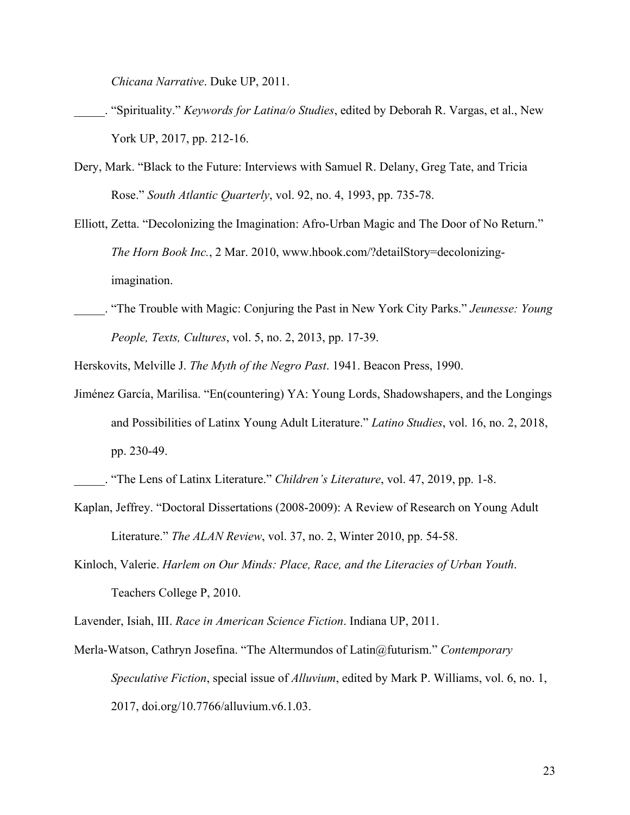*Chicana Narrative*. Duke UP, 2011.

- \_\_\_\_\_. "Spirituality." *Keywords for Latina/o Studies*, edited by Deborah R. Vargas, et al., New York UP, 2017, pp. 212-16.
- Dery, Mark. "Black to the Future: Interviews with Samuel R. Delany, Greg Tate, and Tricia Rose." *South Atlantic Quarterly*, vol. 92, no. 4, 1993, pp. 735-78.
- Elliott, Zetta. "Decolonizing the Imagination: Afro-Urban Magic and The Door of No Return." *The Horn Book Inc.*, 2 Mar. 2010, www.hbook.com/?detailStory=decolonizingimagination.
- \_\_\_\_\_. "The Trouble with Magic: Conjuring the Past in New York City Parks." *Jeunesse: Young People, Texts, Cultures*, vol. 5, no. 2, 2013, pp. 17-39.

Herskovits, Melville J. *The Myth of the Negro Past*. 1941. Beacon Press, 1990.

Jiménez García, Marilisa. "En(countering) YA: Young Lords, Shadowshapers, and the Longings and Possibilities of Latinx Young Adult Literature." *Latino Studies*, vol. 16, no. 2, 2018, pp. 230-49.

- Kaplan, Jeffrey. "Doctoral Dissertations (2008-2009): A Review of Research on Young Adult Literature." *The ALAN Review*, vol. 37, no. 2, Winter 2010, pp. 54-58.
- Kinloch, Valerie. *Harlem on Our Minds: Place, Race, and the Literacies of Urban Youth*. Teachers College P, 2010.

Lavender, Isiah, III. *Race in American Science Fiction*. Indiana UP, 2011.

Merla-Watson, Cathryn Josefina. "The Altermundos of Latin@futurism." *Contemporary Speculative Fiction*, special issue of *Alluvium*, edited by Mark P. Williams, vol. 6, no. 1, 2017, doi.org/10.7766/alluvium.v6.1.03.

\_\_\_\_\_. "The Lens of Latinx Literature." *Children's Literature*, vol. 47, 2019, pp. 1-8.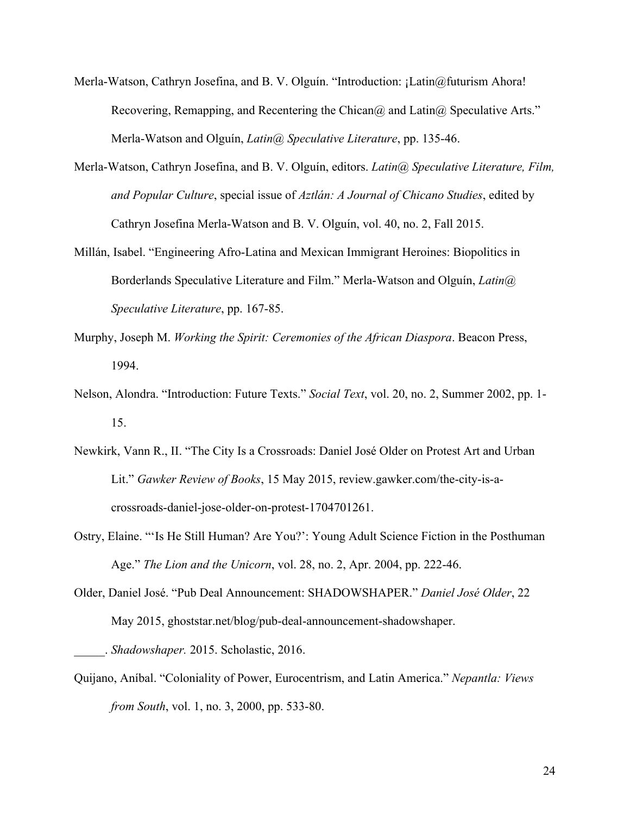- Merla-Watson, Cathryn Josefina, and B. V. Olguín. "Introduction: ¡Latin@futurism Ahora! Recovering, Remapping, and Recentering the Chican@ and Latin@ Speculative Arts." Merla-Watson and Olguín, *Latin@ Speculative Literature*, pp. 135-46.
- Merla-Watson, Cathryn Josefina, and B. V. Olguín, editors. *Latin@ Speculative Literature, Film, and Popular Culture*, special issue of *Aztlán: A Journal of Chicano Studies*, edited by Cathryn Josefina Merla-Watson and B. V. Olguín, vol. 40, no. 2, Fall 2015.
- Millán, Isabel. "Engineering Afro-Latina and Mexican Immigrant Heroines: Biopolitics in Borderlands Speculative Literature and Film." Merla-Watson and Olguín, *Latin@ Speculative Literature*, pp. 167-85.
- Murphy, Joseph M. *Working the Spirit: Ceremonies of the African Diaspora*. Beacon Press, 1994.
- Nelson, Alondra. "Introduction: Future Texts." *Social Text*, vol. 20, no. 2, Summer 2002, pp. 1- 15.
- Newkirk, Vann R., II. "The City Is a Crossroads: Daniel José Older on Protest Art and Urban Lit." *Gawker Review of Books*, 15 May 2015, review.gawker.com/the-city-is-acrossroads-daniel-jose-older-on-protest-1704701261.
- Ostry, Elaine. "'Is He Still Human? Are You?': Young Adult Science Fiction in the Posthuman Age." *The Lion and the Unicorn*, vol. 28, no. 2, Apr. 2004, pp. 222-46.
- Older, Daniel José. "Pub Deal Announcement: SHADOWSHAPER." *Daniel José Older*, 22 May 2015, ghoststar.net/blog/pub-deal-announcement-shadowshaper.

Quijano, Aníbal. "Coloniality of Power, Eurocentrism, and Latin America." *Nepantla: Views from South*, vol. 1, no. 3, 2000, pp. 533-80.

\_\_\_\_\_. *Shadowshaper.* 2015. Scholastic, 2016.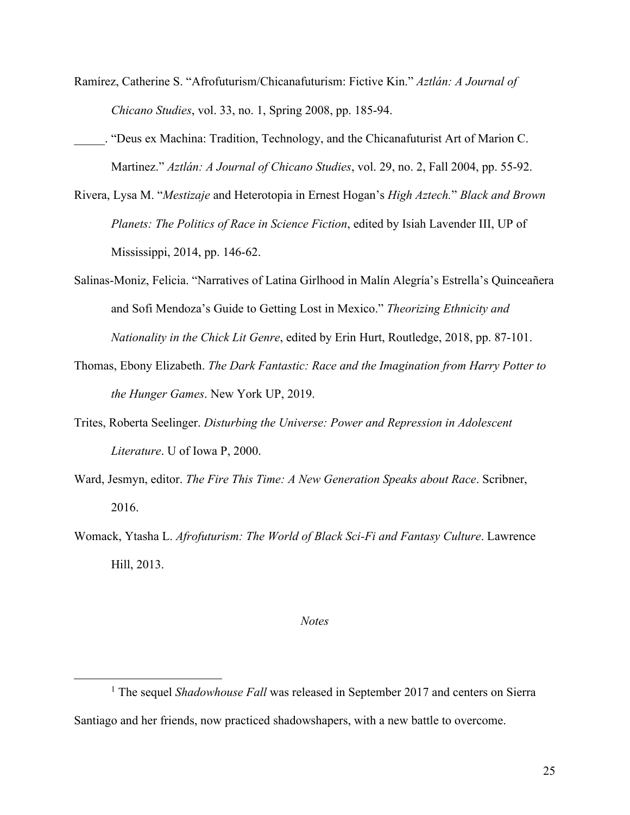- Ramírez, Catherine S. "Afrofuturism/Chicanafuturism: Fictive Kin." *Aztlán: A Journal of Chicano Studies*, vol. 33, no. 1, Spring 2008, pp. 185-94.
- \_\_\_\_\_. "Deus ex Machina: Tradition, Technology, and the Chicanafuturist Art of Marion C. Martinez." *Aztlán: A Journal of Chicano Studies*, vol. 29, no. 2, Fall 2004, pp. 55-92.
- Rivera, Lysa M. "*Mestizaje* and Heterotopia in Ernest Hogan's *High Aztech.*" *Black and Brown Planets: The Politics of Race in Science Fiction*, edited by Isiah Lavender III, UP of Mississippi, 2014, pp. 146-62.
- Salinas-Moniz, Felicia. "Narratives of Latina Girlhood in Malín Alegría's Estrella's Quinceañera and Sofi Mendoza's Guide to Getting Lost in Mexico." *Theorizing Ethnicity and Nationality in the Chick Lit Genre*, edited by Erin Hurt, Routledge, 2018, pp. 87-101.
- Thomas, Ebony Elizabeth. *The Dark Fantastic: Race and the Imagination from Harry Potter to the Hunger Games*. New York UP, 2019.
- Trites, Roberta Seelinger. *Disturbing the Universe: Power and Repression in Adolescent Literature*. U of Iowa P, 2000.
- Ward, Jesmyn, editor. *The Fire This Time: A New Generation Speaks about Race*. Scribner, 2016.
- Womack, Ytasha L. *Afrofuturism: The World of Black Sci-Fi and Fantasy Culture*. Lawrence Hill, 2013.

#### *Notes*

<sup>&</sup>lt;sup>1</sup> The sequel *Shadowhouse Fall* was released in September 2017 and centers on Sierra Santiago and her friends, now practiced shadowshapers, with a new battle to overcome.